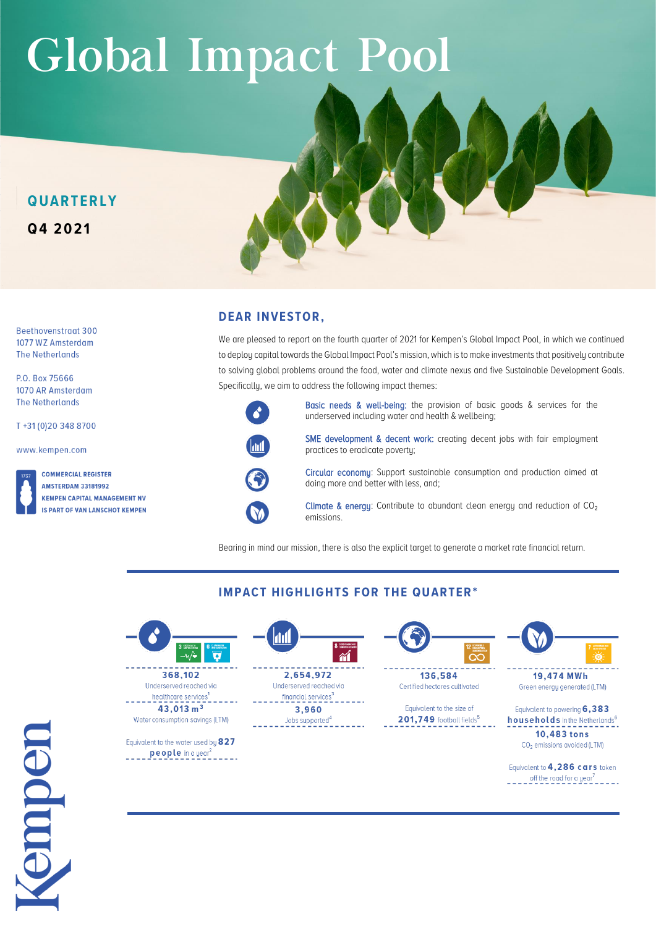# Global Impact Pool

## **Q U A R T E R L Y Q4 2 02 1**

Beethovenstraat 300 1077 WZ Amsterdam **The Netherlands** 

P.O. Box 75666 1070 AR Amsterdam **The Netherlands** 

T+31 (0) 20 348 8700

www.kempen.com

**COMMERCIAL REGISTER AMSTERDAM 33181992 KEMPEN CAPITAL MANAGEMENT NV IS PART OF VAN LANSCHOT KEMPEN** 

## **DEAR INVESTOR,**

We are pleased to report on the fourth quarter of 2021 for Kempen's Global Impact Pool, in which we continued to deploy capital towards the Global Impact Pool's mission, which is to make investments that positively contribute to solving global problems around the food, water and climate nexus and five Sustainable Development Goals. Specifically, we aim to address the following impact themes:



 $\mathbf V$ 

Basic needs & well-being: the provision of basic goods & services for the underserved including water and health & wellbeing;

SME development & decent work: creating decent jobs with fair employment practices to eradicate poverty;

Circular economy: Support sustainable consumption and production aimed at doing more and better with less, and;

Climate & energy: Contribute to abundant clean energy and reduction of  $CO<sub>2</sub>$ emissions.

Bearing in mind our mission, there is also the explicit target to generate a market rate financial return.



 $43.013 \text{ m}^3$ Water consumption savings (LTM)

Equivalent to the water used by 827  $\frac{\text{people in a year}^2}{\text{none}}$ 



**IMPACT HIGHLIGHTS FOR THE QUARTER\*** 

Underserved reached via financial services<sup>3</sup> 3,960 Jobs supported<sup>4</sup>



136,584 Certified hectares cultivated

Equivalent to the size of 201,749 football fields<sup>5</sup>



19,474 MWh Green energy generated (LTM)

Equivalent to powering 6,383 households in the Netherlands<sup>6</sup> 10,483 tons CO<sub>2</sub> emissions avoided (LTM)

Equivalent to 4,286 cars taken  $-$  -  $-$  off the road for a year<sup>7</sup>

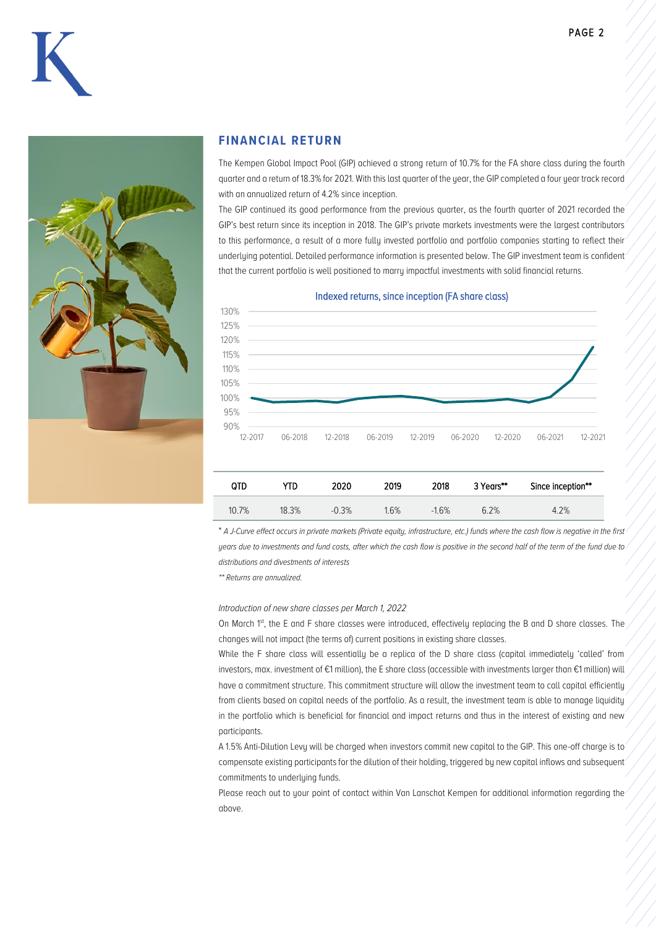



#### **FINANCIAL RETURN**

The Kempen Global Impact Pool (GIP) achieved a strong return of 10.7% for the FA share class during the fourth quarter and a return of 18.3% for 2021. With this last quarter of the year, the GIP completed a four year track record with an annualized return of 4.2% since inception.

The GIP continued its good performance from the previous quarter, as the fourth quarter of 2021 recorded the GIP's best return since its inception in 2018. The GIP's private markets investments were the largest contributors to this performance, a result of a more fully invested portfolio and portfolio companies starting to reflect their underlying potential. Detailed performance information is presented below. The GIP investment team is confident that the current portfolio is well positioned to marry impactful investments with solid financial returns.

Indexed returns, since inception (FA share class)



| OTD   | YTD.  | 2020    | 2019    | 2018    | 3 Years** | Since inception** |
|-------|-------|---------|---------|---------|-----------|-------------------|
| 10.7% | 18.3% | $-0.3%$ | $1.6\%$ | $-1.6%$ | 6.2%      | .2%               |

\* *A J-Curve effect occurs in private markets (Private equity, infrastructure, etc.) funds where the cash flow is negative in the first years due to investments and fund costs, after which the cash flow is positive in the second half of the term of the fund due to distributions and divestments of interests*

*\*\* Returns are annualized.* 

#### *Introduction of new share classes per March 1, 2022*

On March 1<sup>st</sup>, the E and F share classes were introduced, effectively replacing the B and D share classes. The changes will not impact (the terms of) current positions in existing share classes.

While the F share class will essentially be a replica of the D share class (capital immediately 'called' from investors, max. investment of €1 million), the E share class (accessible with investments larger than €1 million) will have a commitment structure. This commitment structure will allow the investment team to call capital efficiently from clients based on capital needs of the portfolio. As a result, the investment team is able to manage liquidity in the portfolio which is beneficial for financial and impact returns and thus in the interest of existing and new participants.

A 1.5% Anti-Dilution Levy will be charged when investors commit new capital to the GIP. This one-off charge is to compensate existing participants for the dilution of their holding, triggered by new capital inflows and subsequent commitments to underlying funds.

Please reach out to your point of contact within Van Lanschot Kempen for additional information regarding the above.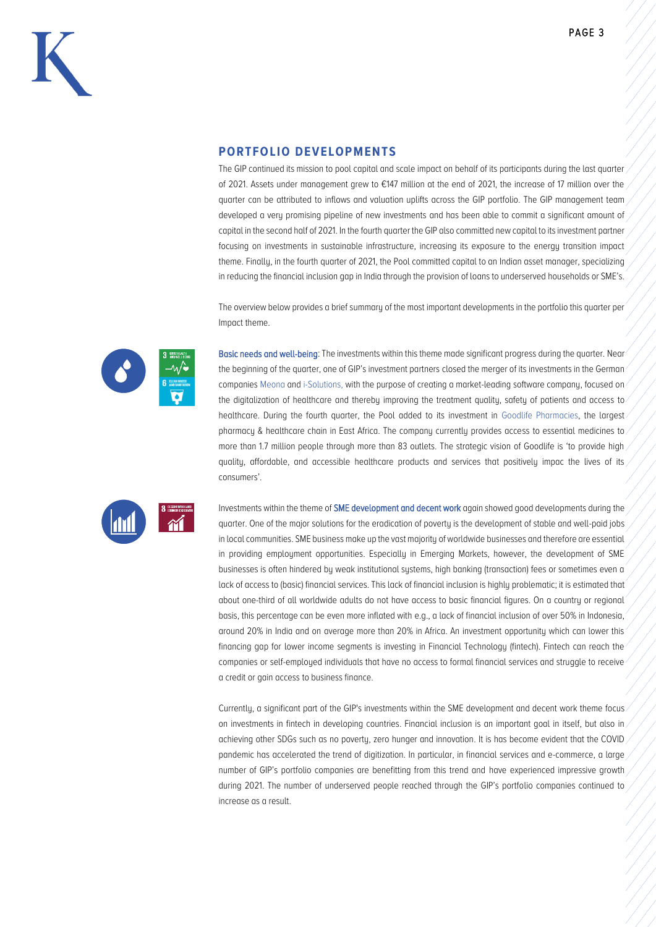

#### **PORTFOLIO DEVELOPMENTS**

The GIP continued its mission to pool capital and scale impact on behalf of its participants during the last quarter of 2021. Assets under management grew to €147 million at the end of 2021, the increase of 17 million over the quarter can be attributed to inflows and valuation uplifts across the GIP portfolio. The GIP management team developed a very promising pipeline of new investments and has been able to commit a significant amount of capital in the second half of 2021. In the fourth quarter the GIP also committed new capital to its investment partner focusing on investments in sustainable infrastructure, increasing its exposure to the energy transition impact theme. Finally, in the fourth quarter of 2021, the Pool committed capital to an Indian asset manager, specializing in reducing the financial inclusion gap in India through the provision of loans to underserved households or SME's.

The overview below provides a brief summary of the most important developments in the portfolio this quarter per Impact theme.



Basic needs and well-being: The investments within this theme made significant progress during the quarter. Near the beginning of the quarter, one of GIP's investment partners closed the merger of its investments in the German companies Meona and i-Solutions, with the purpose of creating a market-leading software company, focused on the digitalization of healthcare and thereby improving the treatment quality, safety of patients and access to healthcare. During the fourth quarter, the Pool added to its investment in Goodlife Pharmacies, the largest pharmacy & healthcare chain in East Africa. The company currently provides access to essential medicines to more than 1.7 million people through more than 83 outlets. The strategic vision of Goodlife is 'to provide high quality, affordable, and accessible healthcare products and services that positively impac the lives of its consumers'.



Investments within the theme of SME development and decent work again showed good developments during the quarter. One of the major solutions for the eradication of poverty is the development of stable and well-paid jobs in local communities. SME business make up the vast majority of worldwide businesses and therefore are essential in providing employment opportunities. Especially in Emerging Markets, however, the development of SME businesses is often hindered by weak institutional systems, high banking (transaction) fees or sometimes even a lack of access to (basic) financial services. This lack of financial inclusion is highly problematic; it is estimated that about one-third of all worldwide adults do not have access to basic financial figures. On a country or regional basis, this percentage can be even more inflated with e.g., a lack of financial inclusion of over 50% in Indonesia, around 20% in India and on average more than 20% in Africa. An investment opportunity which can lower this financing gap for lower income segments is investing in Financial Technology (fintech). Fintech can reach the companies or self-employed individuals that have no access to formal financial services and struggle to receive a credit or gain access to business finance.

Currently, a significant part of the GIP's investments within the SME development and decent work theme focus on investments in fintech in developing countries. Financial inclusion is an important goal in itself, but also in achieving other SDGs such as no poverty, zero hunger and innovation. It is has become evident that the COVID pandemic has accelerated the trend of digitization. In particular, in financial services and e-commerce, a large number of GIP's portfolio companies are benefitting from this trend and have experienced impressive growth during 2021. The number of underserved people reached through the GIP's portfolio companies continued to increase as a result.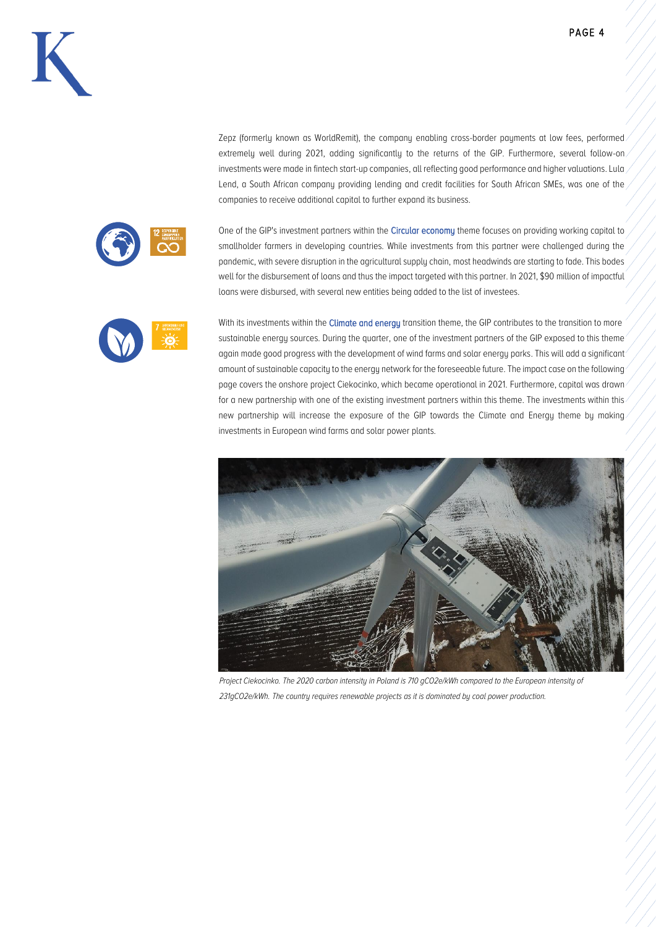



Zepz (formerly known as WorldRemit), the company enabling cross-border payments at low fees, performed. extremely well during 2021, adding significantly to the returns of the GIP. Furthermore, several follow-on investments were made in fintech start-up companies, all reflecting good performance and higher valuations. Lula Lend, a South African company providing lending and credit facilities for South African SMEs, was one of the companies to receive additional capital to further expand its business.

One of the GIP's investment partners within the Circular economy theme focuses on providing working capital to smallholder farmers in developing countries. While investments from this partner were challenged during the pandemic, with severe disruption in the agricultural supply chain, most headwinds are starting to fade. This bodes well for the disbursement of loans and thus the impact targeted with this partner. In 2021, \$90 million of impactful loans were disbursed, with several new entities being added to the list of investees.

With its investments within the Climate and energy transition theme, the GIP contributes to the transition to more sustainable energy sources. During the quarter, one of the investment partners of the GIP exposed to this theme again made good progress with the development of wind farms and solar energy parks. This will add a significant amount of sustainable capacity to the energy network for the foreseeable future. The impact case on the following page covers the onshore project Ciekocinko, which became operational in 2021. Furthermore, capital was drawn for a new partnership with one of the existing investment partners within this theme. The investments within this new partnership will increase the exposure of the GIP towards the Climate and Energy theme by making investments in European wind farms and solar power plants.



*Project Ciekocinko. The 2020 carbon intensity in Poland is 710 gCO2e/kWh compared to the European intensity of 231gCO2e/kWh. The country requires renewable projects as it is dominated by coal power production.*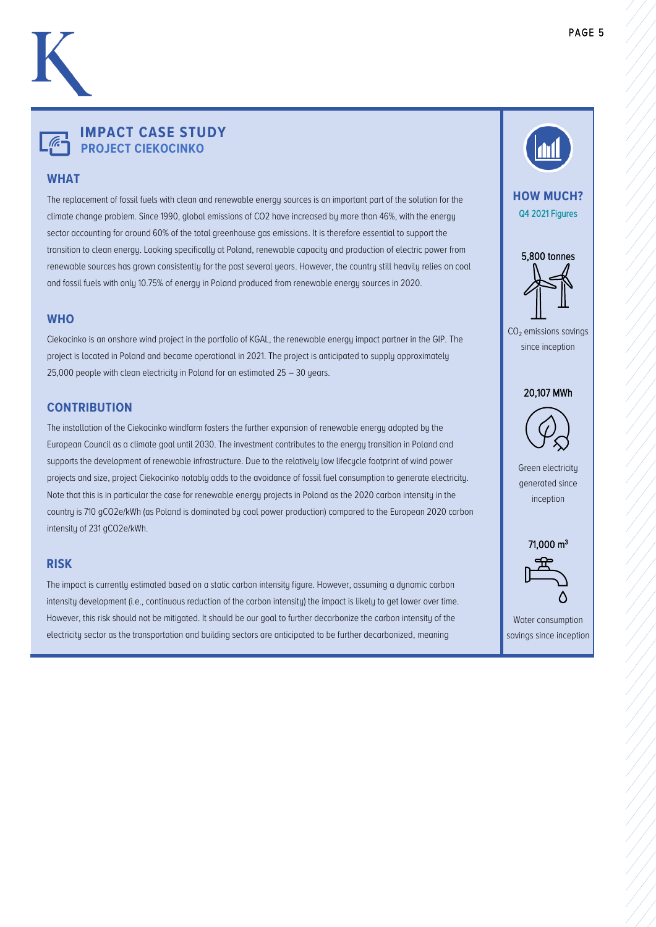## **IMPACT CASE STUDY PROJECT CIEKOCINKO**

### **WHAT**

The replacement of fossil fuels with clean and renewable energy sources is an important part of the solution for the climate change problem. Since 1990, global emissions of CO2 have increased by more than 46%, with the energy sector accounting for around 60% of the total greenhouse gas emissions. It is therefore essential to support the transition to clean energy. Looking specifically at Poland, renewable capacity and production of electric power from renewable sources has grown consistently for the past several years. However, the country still heavily relies on coal and fossil fuels with only 10.75% of energy in Poland produced from renewable energy sources in 2020.

#### **WHO**

Ciekocinko is an onshore wind project in the portfolio of KGAL, the renewable energy impact partner in the GIP. The project is located in Poland and became operational in 2021. The project is anticipated to supply approximately 25,000 people with clean electricity in Poland for an estimated 25 – 30 years.

#### **CONTRIBUTION**

The installation of the Ciekocinko windfarm fosters the further expansion of renewable energy adopted by the European Council as a climate goal until 2030. The investment contributes to the energy transition in Poland and supports the development of renewable infrastructure. Due to the relatively low lifecycle footprint of wind power projects and size, project Ciekocinko notably adds to the avoidance of fossil fuel consumption to generate electricity. Note that this is in particular the case for renewable energy projects in Poland as the 2020 carbon intensity in the country is 710 gCO2e/kWh (as Poland is dominated by coal power production) compared to the European 2020 carbon intensity of 231 gCO2e/kWh.

#### **RISK**

The impact is currently estimated based on a static carbon intensity figure. However, assuming a dynamic carbon intensity development (i.e., continuous reduction of the carbon intensity) the impact is likely to get lower over time. However, this risk should not be mitigated. It should be our goal to further decarbonize the carbon intensity of the electricity sector as the transportation and building sectors are anticipated to be further decarbonized, meaning

significant amounts of clean electricity production are being required.



Water consumption savings since inception

L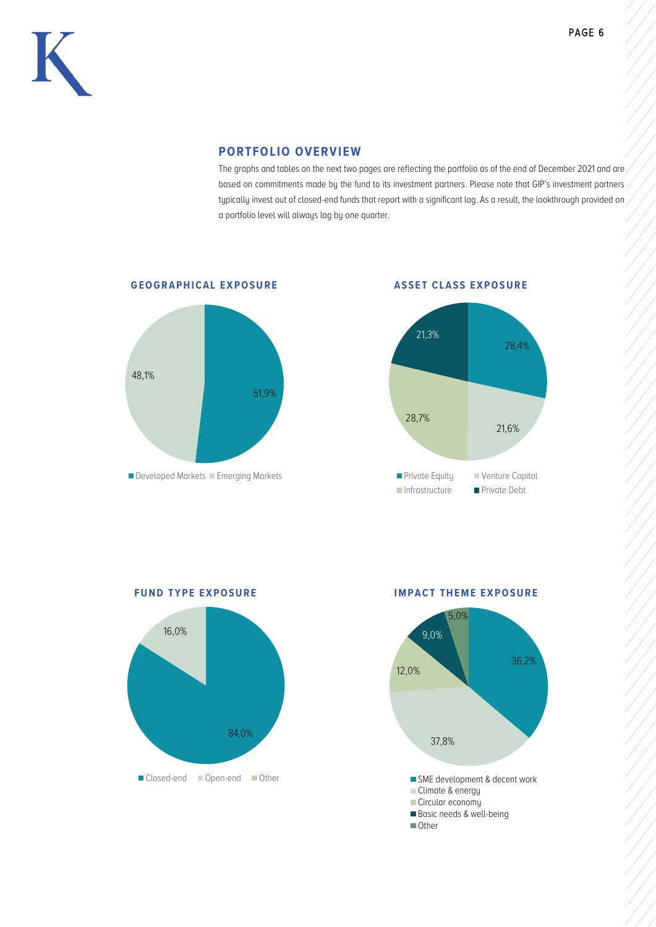

#### **PORTFOLIO OVERVIEW**

The graphs and tables on the next two pages are reflecting the portfolio as of the end of December 2021 and are based on commitments made by the fund to its investment partners. Please note that GIP's investment partners typically invest out of closed-end funds that report with a significant lag. As a result, the lookthrough provided on a portfolio level will always lag by one quarter.



**GEOGRAPHICAL EXPOSURE** ASSET CLASS EXPOSURE



84,0% 16,0% Closed-end Open-end Other

**FUND TYPE EXPOSURE IMPACT THEME EXPOSURE** 

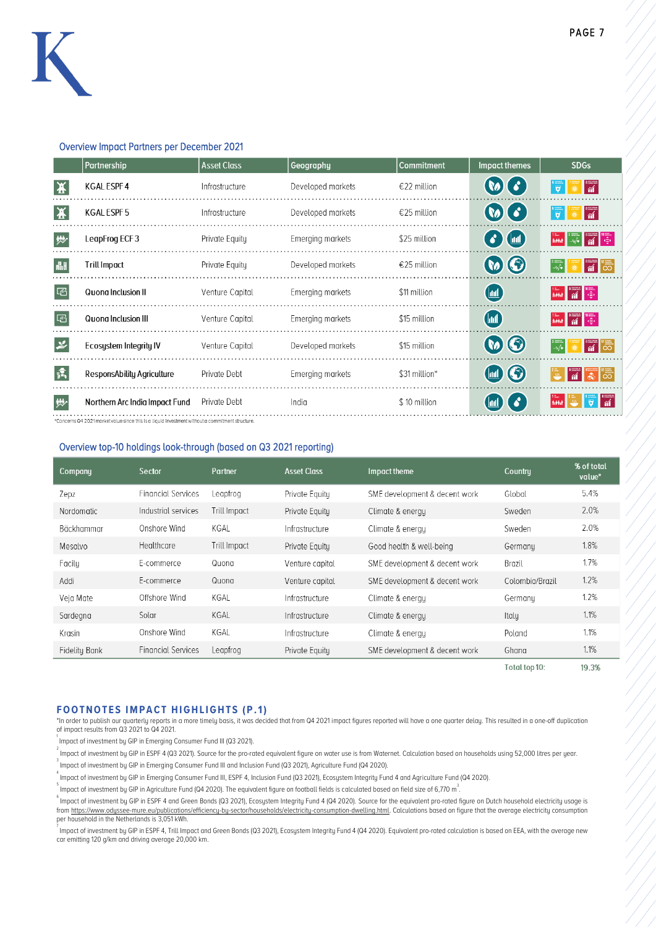#### Overview Impact Partners per December 2021

| Partnership                         | <b>Asset Class</b> | Geography         | <b>Commitment</b> | <b>Impact themes</b>                                      | <b>SDGs</b>                                              |
|-------------------------------------|--------------------|-------------------|-------------------|-----------------------------------------------------------|----------------------------------------------------------|
| <b>KGAL ESPF4</b><br>录              | Infrastructure     | Developed markets | €22 million       | $\omega$                                                  | $\frac{1}{\alpha}$<br>ब                                  |
| 【夹<br><b>KGAL ESPF5</b>             | Infrastructure     | Developed markets | €25 million       | $\omega(\cdot)$                                           | $\frac{1}{\gamma}$<br>$\overline{\overline{\mathbf{y}}}$ |
| 妙<br>LeapFrog ECF3                  | Private Equity     | Emerging markets  | \$25 million      | $\bigodot$ (iii)                                          | $\frac{1}{\omega}$<br>head                               |
| <b>Trill Impact</b><br>晶            | Private Equity     | Developed markets | €25 million       | $\boldsymbol{\omega}$ $\boldsymbol{\Theta}$               | $\frac{1}{\pi}$<br>$\frac{1}{2}$                         |
| 啞<br>Quong Inclusion II             | Venture Capital    | Emerging markets  | \$11 million      | $\left(\mathbf{m}\right)$                                 | ै ।<br>भार<br><b>BAKE</b>                                |
| 囜<br>Quong Inclusion III            | Venture Capital    | Emerging markets  | \$15 million      | $\boxed{\mathbb{M}}$                                      | $\frac{1}{\mathbf{a}}$<br>head                           |
| ゃ<br>Ecosystem Integrity IV         | Venture Capital    | Developed markets | \$15 million      | $\boldsymbol{\omega}$ $\boldsymbol{\odot}$                | $\frac{1}{\pi}$ $\frac{1}{\infty}$<br>$-\sqrt{\bullet}$  |
| 佩<br>ResponsAbility Agriculture     | Private Debt       | Emerging markets  | \$31 million*     | $\blacksquare$ $\odot$                                    | $\mathsf{L}^\infty_\infty$<br>$\overline{m}$<br>省        |
| 妙<br>Northern Arc India Impact Fund | Private Debt       | India             | \$10 million      | $\boldsymbol{\delta}$<br>$\textcolor{blue}{\textbf{(m)}}$ | $\frac{1}{\gamma}$                                       |
|                                     |                    |                   |                   |                                                           |                                                          |

#### Overview top-10 holdings look-through (based on Q3 2021 reporting)

| Company       | Sector                    | Partner             | <b>Asset Class</b> | Impact theme                  | Country         | % of total<br>value* |
|---------------|---------------------------|---------------------|--------------------|-------------------------------|-----------------|----------------------|
| Zepz          | <b>Financial Services</b> | Leapfrog            | Private Equity     | SME development & decent work | Global          | 5.4%                 |
| Nordomatic    | Industrial services       | <b>Trill Impact</b> | Private Equity     | Climate & energy              | Sweden          | 2.0%                 |
| Bäckhammar    | Onshore Wind              | KGAL                | Infrastructure     | Climate & energy              | Sweden          | 2.0%                 |
| Mesalvo       | Healthcare                | <b>Trill Impact</b> | Private Equitu     | Good health & well-being      | Germanu         | 1.8%                 |
| Facily        | E-commerce                | Quona               | Venture capital    | SME development & decent work | Brazil          | 1.7%                 |
| Addi          | E-commerce                | Quona               | Venture capital    | SME development & decent work | Colombia/Brazil | 1.2%                 |
| Veja Mate     | Offshore Wind             | KGAL                | Infrastructure     | Climate & energy              | Germany         | 1.2%                 |
| Sardegna      | Solar                     | KGAL                | Infrastructure     | Climate & energy              | Italu           | 1.1%                 |
| Krasin        | Onshore Wind              | KGAL                | Infrastructure     | Climate & energy              | Poland          | 1.1%                 |
| Fidelity Bank | <b>Financial Services</b> | Leapfrog            | Private Equity     | SME development & decent work | Ghana           | 1.1%                 |

Total top 10: 19.3%

#### **FOOTNOTES IMPACT HIGHLIGHTS (P.1)**

\*In order to publish our quarterly reports in a more timely basis, it was decided that from Q4 2021 impact figures reported will have a one quarter delay. This resulted in a one-off duplication of impact results from Q3 2021 to Q4 2021.

<sup>1</sup> Impact of investment by GIP in Emerging Consumer Fund III (Q3 2021).

,<br>Impact of investment by GIP in ESPF 4 (Q3 2021). Source for the pro-rated equivalent figure on water use is from Waternet. Calculation based on households using 52,000 litres per year.

<sup>3</sup><br>Impact of investment by GIP in Emerging Consumer Fund III and Inclusion Fund (Q3 2021), Agriculture Fund (Q4 2020).

4 Impact of investment by GIP in Emerging Consumer Fund III, ESPF 4, Inclusion Fund (Q3 2021), Ecosystem Integrity Fund 4 and Agriculture Fund (Q4 2020).

 $^{\rm 5}$  Impact of investment by GIP in Agriculture Fund (Q4 2020). The equivalent figure on football fields is calculated based on field size of 6,770 m<sup>3</sup>.

.<br><sup>6</sup> Impact of investment by GIP in ESPF 4 and Green Bonds (Q3 2021), Ecosystem Integrity Fund 4 (Q4 2020). Source for the equivalent pro-rated figure on Dutch household electricity usage is fro[m https://www.odyssee-mure.eu/publications/efficiency-by-sector/households/electricity-consumption-dwelling.html.](https://www.odyssee-mure.eu/publications/efficiency-by-sector/households/electricity-consumption-dwelling.html) Calculations based on figure that the average electricity consumption per household in the Netherlands is 3,051 kWh.

,<br>Impact of investment by GIP in ESPF 4, Trill Impact and Green Bonds (Q3 2021), Ecosystem Integrity Fund 4 (Q4 2020). Equivalent pro-rated calculation is based on EEA, with the average new car emitting 120 g/km and driving average 20,000 km.